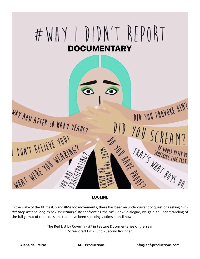

In the wake of the #TimesUp and #MeToo movements, there has been an undercurrent of questions asking *'why did they wait so long to say something?*' By confronting the *'why now'* dialogue, we gain an understanding of the full gamut of repercussions that have been silencing victims – until now.

> The Red List by Coverfly - #7 in Feature Documentaries of the Year Screencraft Film Fund - Second Rounder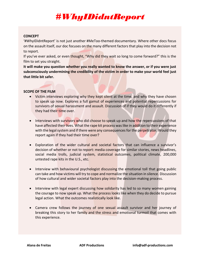### **CONCEPT**

'#WhyIDidntReport' is not just another #MeToo-themed documentary. Where other docs focus on the assault itself, our doc focuses on the many different factors that play into the decision not to report.

If you've ever asked, or even thought, "Why did they wait so long to come forward?" this is the film to set you straight.

**It will make you question whether you really wanted to know the answer, or if you were just subconsciously undermining the credibility of the victim in order to make your world feel just that little bit safer.**

#### **SCOPE OF THE FILM**

- Victim interviews exploring why they kept silent at the time, and why they have chosen to speak up now. Explores a full gamut of experiences and potential repercussions for survivors of sexual harassment and assault. Discussion of if they would do it differently if they had their time over.
- Interviews with survivors who did choose to speak up and how the repercussions of that have affected their lives. What the rape kit process was like in addition to their experience with the legal system and if there were any consequences for the perpetrator. Would they report again if they had their time over?
- Exploration of the wider cultural and societal factors that can influence a survivor's decision of whether or not to report: media coverage for similar stories, news headlines, social media trolls, judicial system, statistical outcomes, political climate, 200,000 untested rape kits in the U.S., etc.
- Interview with behavioural psychologist discussing the emotional toll that going public can take and how victims will try to cope and normalize the situation in silence. Discussion of how cultural and wider societal factors play into the decision-making process.
- Interview with legal expert discussing how solidarity has led to so many women gaining the courage to now speak up. What the process looks like when they do decide to pursue legal action. What the outcomes realistically look like.
- Camera crew follows the journey of one sexual assault survivor and her journey of breaking this story to her family and the stress and emotional turmoil that comes with this experience.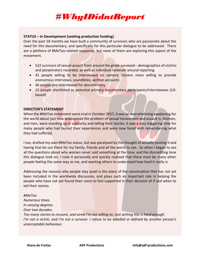### **STATUS – In Development (seeking production funding)**

Over the past 18 months we have built a community of survivors who are passionate about the need for this documentary, and specifically for this particular dialogue to be addressed. There are a plethora of #MeToo-related resources, but none of them are exploring this aspect of the movement.

- 522 survivors of sexual assault from around the globe surveyed demographics of victims and perpetrators recorded, as well as individual rationale around reporting
- 41 people willing to be interviewed on camera. Dozens more willing to provide anonymous interviews, soundbites, written accounts
- 46 people pre-interviewed for documentary
- 15 people shortlisted as potential primary documentary participants/interviewees (USbased)

#### **DIRECTOR'S STATEMENT**

When the #MeToo movement went viral in October 2017, it was an overwhelming awakening for the world about just how widespread the problem of sexual harassment and assault is. Women, and men, were standing up in solidarity and telling their stories. It was a very triggering time for many people who had buried their experiences and were now faced with remembering what they had suffered.

I too, drafted my own #MeToo status, but was paralysed by the thought of actually posting it and having that be out there for my family, friends and all the world to see. So when I began to see all the questions about why women never said something at the time, and the discrediting tone this dialogue took on, I took it personally and quickly realized that there must be many other people feeling the same way as me, and wanting others to understand how hard it really is.

Addressing the reasons why people stay quiet is the piece of the conversation that has not yet been included in the worldwide discussion, and plays such an important role in helping the people who have not yet found their voice to feel supported in their decision of if and when to tell their stories.

*#MeToo Numerous times. In varying degrees. Over two decades. Too many stories to recount, and some I'm not willing to. Just writing this is hard enough. I'm not a victim, and I'm not a survivor. I refuse to be labelled or defined by another person's unacceptable behaviour.*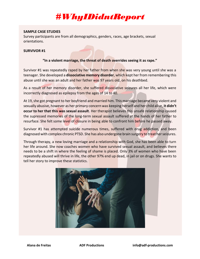#### **SAMPLE CASE STUDIES**

Survey participants are from all demographics, genders, races, age brackets, sexual orientations.

#### **SURVIVOR #1**

### **"In a violent marriage, the threat of death overrides seeing it as rape."**

Survivor #1 was repeatedly raped by her father from when she was very young until she was a teenager. She developed a **dissociative memory disorder**, which kept her from remembering this abuse until she was an adult and her father was 97 years old, on his deathbed.

As a result of her memory disorder, she suffered dissociative seizures all her life, which were incorrectly diagnosed as epilepsy from the ages of 14 to 40.

At 19, she got pregnant to her boyfriend and married him. This marriage became very violent and sexually abusive, however as her primary concern was keeping herself and her child alive, **it didn't occur to her that this was sexual assault**. Her therapist believes this unsafe relationship caused the supressed memories of the long-term sexual assault suffered at the hands of her father to resurface. She felt some level of closure in being able to confront him before he passed away.

Survivor #1 has attempted suicide numerous times, suffered with drug addiction, and been diagnosed with complex chronic PTSD. She has also undergone brain surgery to treat her seizures.

Through therapy, a new loving marriage and a relationship with God, she has been able to turn her life around. She now coaches women who have survived sexual assault, and believes there needs to be a shift in where the feeling of shame is placed. Only 3% of women who have been repeatedly abused will thrive in life, the other 97% end up dead, in jail or on drugs. She wants to tell her story to improve these statistics.

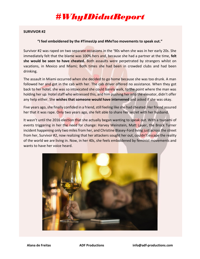### **SURVIVOR #2**

#### **"I feel emboldened by the #TimesUp and #MeToo movements to speak out."**

Survivor #2 was raped on two separate occasions in the '90s when she was in her early 20s. She immediately felt that the blame was 100% hers and, because she had a partner at the time, **felt she would be seen to have cheated.** Both assaults were perpetrated by strangers whilst on vacations, in Mexico and Miami; Both times she had been in crowded clubs and had been drinking.

The assault in Miami occurred when she decided to go home because she was too drunk. A man followed her and got in the cab with her. The cab driver offered no assistance. When they got back to her hotel, she was so intoxicated she could barely walk, to the point where the man was holding her up. Hotel staff who witnessed this, and him pushing her into the elevator, didn't offer any help either. She **wishes that someone would have intervened** and asked if she was okay.

Five years ago, she finally confided in a friend, still feeling like she had cheated. Her friend assured her that it was rape. Only two years ago, she felt able to share her secret with her husband.

It wasn't until the 2016 election that she actually began wanting to speak out. With a tsunami of events triggering in her the need for change: Harvey Weinstein, Matt Lauer, the Brock Turner incident happening only two miles from her, and Christine Blasey-Ford living just across the street from her, Survivor #2, now realizing that her attackers sought her out, couldn't escape the reality of the world we are living in. Now, in her 40s, she feels emboldened by feminist movements and wants to have her voice heard.

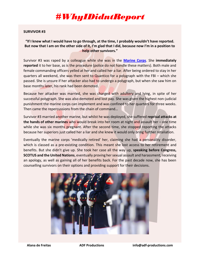### **SURVIVOR #3**

**"If I knew what I would have to go through, at the time, I probably wouldn't have reported. But now that I am on the other side of it, I'm glad that I did, because now I'm in a position to help other survivors."**

Survivor #3 was raped by a colleague while she was in the **[Marine Corps](https://myfox8.com/buckley-report/davidson-county-veteran-victim-of-sexual-assault-changing-the-face-of-todays-military/)**. She **immediately reported** it to her base, as is the procedure (police do not handle these matters). Both male and female commanding officers yelled at her and called her a liar. After being ordered to stay in her quarters all weekend, she was then sent to Quantico for a polygraph with the FBI – which she passed. She is unsure if her attacker also had to undergo a polygraph, but when she saw him on base months later, his rank had been demoted.

Because her attacker was married, she was charged with adultery and lying, in spite of her successful polygraph. She was also demoted and lost pay. She was given the highest non-judicial punishment the marine corps can implement and was confined to her quarters for three weeks. Then came the repercussions from the chain of command…

Survivor #3 married another marine, but whilst he was deployed, she suffered **reprisal attacks at the hands of other marines** who would break into her room at night and assault her – one time while she was six months pregnant. After the second time, she stopped reporting the attacks because her superiors just called her a liar and she knew it would only bring further retaliation.

Eventually the marine corps 'medically retired' her, claiming she had a personality disorder, which is classed as a pre-existing condition. This meant she lost access to her retirement and benefits. But she didn't give up. She took her case all the way up, **speaking before Congress, SCOTUS and the United Nations**, eventually proving her sexual assault and harassment, receiving an apology, as well as gaining all of her benefits back. For the past decade now, she has been counselling survivors on their options and providing support for their decisions.

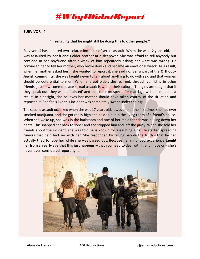#### **SURVIVOR #4**

#### **"I feel guilty that he might still be doing this to other people."**

Survivor #4 has endured two isolated incidents of sexual assault. When she was 12 years old, she was assaulted by her friend's older brother at a sleepover. She was afraid to tell anybody but confided in her boyfriend after a week of him repeatedly asking her what was wrong. He convinced her to tell her mother, who broke down and became an emotional wreck. As a result, when her mother asked her if she wanted to report it, she said no. Being part of the **Orthodox Jewish community**, she was taught never to talk about anything to do with sex, and that women should be deferential to men. When she got older, she realized, through confiding in other friends, just how commonplace sexual assault is within their culture. The girls are taught that if they speak out, they will be 'tainted' and that their prospects for marriage will be limited as a result. In hindsight, she believes her mother should have taken control of the situation and reported it. She feels like this incident was completely swept under the rug.

The second assault occurred when she was 17 years old. It was one of the first times she had ever smoked marijuana, and she got really high and passed out in the living room of a friend's house. When she woke up, she was in the bathroom and one of her male friends was pulling down her pants. This snapped her back to sober and she stopped him and left the party. When she told her friends about the incident, she was told he is known for assaulting girls. He started spreading rumors that he'd had sex with her. She responded by telling people the truth - that he had actually tried to rape her while she was passed out. Because her childhood experience **taught her from an early age that this just happens** – that you need to deal with it and move on - she's never even considered reporting it.

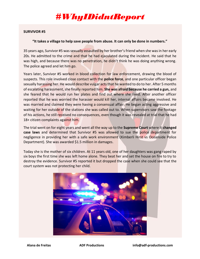### **SURVIVOR #5**

### **"It takes a village to help save people from abuse. It can only be done in numbers."**

35 years ago, Survivor #5 was sexually assaulted by her brother's friend when she was in her early 20s. He admitted to the crime and that he had ejaculated during the incident. He said that he was high, and because there was no penetration, he didn't think he was doing anything wrong. The police agreed and let him go.

Years later, Survivor #5 worked in blood collection for law enforcement, drawing the blood of suspects. This role involved close contact with the **police force**, and one particular officer began sexually harassing her. He would describe vulgar acts that he wanted to do to her. After 5 months of escalating harassment, she finally reported him. **She was afraid because he carried a gun,** and she feared that he would run her plates and find out where she lived. After another officer reported that he was worried the harasser would kill her, internal affairs became involved. He was married and claimed they were having a consensual affair. He began acting aggressive and waiting for her outside of the stations she was called out to. When supervisors saw the footage of his actions, he still received no consequences, even though it was revealed at trial that he had 18+ citizen complaints against him.

The trial went on for eight years and went all the way up to the **Supreme Court** where it **changed case laws** and determined that Survivor #5 was allowed to sue the police department for negligence in providing her with a safe work environment (Kimberli Hirst vs Oceanside Police Department). She was awarded \$1.5 million in damages.

Today she is the mother of six children. At 11 years old, one of her daughters was gang raped by six boys the first time she was left home alone. They beat her and set the house on fire to try to destroy the evidence. Survivor #5 reported it but dropped the case when she could see that the court system was not protecting her child.

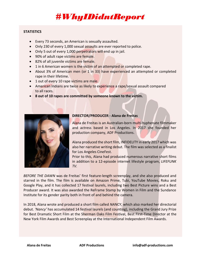### **STATISTICS**

- Every 73 seconds, an American is sexually assaulted.
- Only 230 of every 1,000 sexual assaults are ever reported to police.
- Only 5 out of every 1,000 perpetrators will end up in jail.
- 90% of adult rape victims are female.
- 82% of all juvenile victims are female.
- 1 in 6 American women is the victim of an attempted or completed rape.
- About 3% of American men (or 1 in 33) have experienced an attempted or completed rape in their lifetime.
- 1 out of every 10 rape victims are male.
- American Indians are twice as likely to experience a rape/sexual assault compared to all races.
- **8 out of 10 rapes are committed by someone known to the victim.**



### **DIRECTOR/PRODUCER - Alana de Freitas**

Alana de Freitas is an Australian-born multi-hyphenate filmmaker and actress based in Los Angeles. In 2017 she founded her production company, ADF Productions.

Alana produced the short film, INFIDELITY in early 2017 which was also her narrative writing debut. The film was selected as a finalist for Los Angeles CineFest.

Prior to this, Alana had produced numerous narrative short films in addition to a 12-episode internet lifestyle program, *LIFEFUNK TV.*

*BEFORE THE DAWN* was de Freitas' first feature-length screenplay, and she also produced and starred in the film. The film is available on Amazon Prime, Tubi, YouTube Movies, Roku and Google Play, and it has collected 17 festival laurels, including two Best Picture wins and a Best Producer award. It was also awarded the ReFrame Stamp by Women in Film and the Sundance Institute for its gender parity both in front of and behind the camera.

In 2018, Alana wrote and produced a short film called *NANCY*, which also marked her directorial debut. *'Nancy'* has accumulated 14 festival laurels (and counting), including the Grand Jury Prize for Best Dramatic Short Film at the Sherman Oaks Film Festival, Best First-Time Director at the New York Film Awards and Best Screenplay at the International Independent Film Awards.